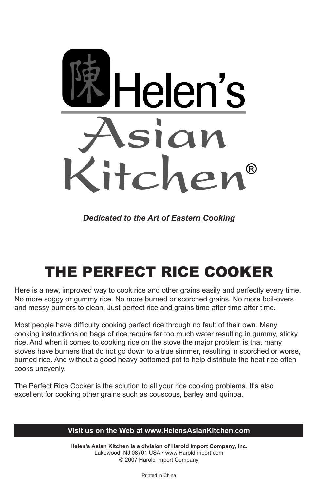

*Dedicated to the Art of Eastern Cooking*

# THE PERFECT RICE COOKER

Here is a new, improved way to cook rice and other grains easily and perfectly every time. No more soggy or gummy rice. No more burned or scorched grains. No more boil-overs and messy burners to clean. Just perfect rice and grains time after time after time.

Most people have difficulty cooking perfect rice through no fault of their own. Many cooking instructions on bags of rice require far too much water resulting in gummy, sticky rice. And when it comes to cooking rice on the stove the major problem is that many stoves have burners that do not go down to a true simmer, resulting in scorched or worse, burned rice. And without a good heavy bottomed pot to help distribute the heat rice often cooks unevenly.

The Perfect Rice Cooker is the solution to all your rice cooking problems. It's also excellent for cooking other grains such as couscous, barley and quinoa.

# **Visit us on the Web at www.HelensAsianKitchen.com**

**Helen's Asian Kitchen is a division of Harold Import Company, Inc.** Lakewood, NJ 08701 USA • www.HaroldImport.com © 2007 Harold Import Company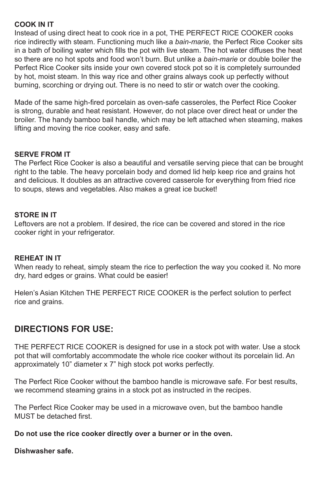## **COOK IN IT**

Instead of using direct heat to cook rice in a pot, THE PERFECT RICE COOKER cooks rice indirectly with steam. Functioning much like a *bain-marie,* the Perfect Rice Cooker sits in a bath of boiling water which fills the pot with live steam. The hot water diffuses the heat so there are no hot spots and food won't burn. But unlike a *bain-marie* or double boiler the Perfect Rice Cooker sits inside your own covered stock pot so it is completely surrounded by hot, moist steam. In this way rice and other grains always cook up perfectly without burning, scorching or drying out. There is no need to stir or watch over the cooking.

Made of the same high-fired porcelain as oven-safe casseroles, the Perfect Rice Cooker is strong, durable and heat resistant. However, do not place over direct heat or under the broiler. The handy bamboo bail handle, which may be left attached when steaming, makes lifting and moving the rice cooker, easy and safe.

#### **SERVE FROM IT**

The Perfect Rice Cooker is also a beautiful and versatile serving piece that can be brought right to the table. The heavy porcelain body and domed lid help keep rice and grains hot and delicious. It doubles as an attractive covered casserole for everything from fried rice to soups, stews and vegetables. Also makes a great ice bucket!

#### **STORE IN IT**

Leftovers are not a problem. If desired, the rice can be covered and stored in the rice cooker right in your refrigerator.

# **REHEAT IN IT**

When ready to reheat, simply steam the rice to perfection the way you cooked it. No more dry, hard edges or grains. What could be easier!

Helen's Asian Kitchen THE PERFECT RICE COOKER is the perfect solution to perfect rice and grains.

# **DIRECTIONS FOR USE:**

THE PERFECT RICE COOKER is designed for use in a stock pot with water. Use a stock pot that will comfortably accommodate the whole rice cooker without its porcelain lid. An approximately 10" diameter x 7" high stock pot works perfectly.

The Perfect Rice Cooker without the bamboo handle is microwave safe. For best results, we recommend steaming grains in a stock pot as instructed in the recipes.

The Perfect Rice Cooker may be used in a microwave oven, but the bamboo handle MUST be detached first.

#### **Do not use the rice cooker directly over a burner or in the oven.**

**Dishwasher safe.**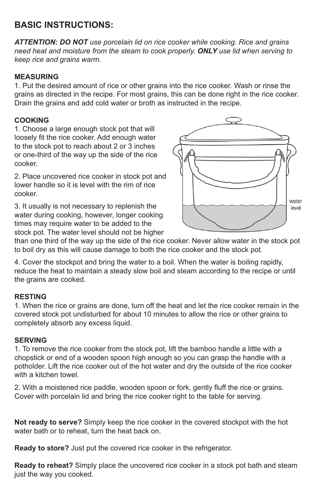# **BASIC INSTRUCTIONS:**

*ATTENTION: DO NOT use porcelain lid on rice cooker while cooking. Rice and grains need heat and moisture from the steam to cook properly. ONLY use lid when serving to keep rice and grains warm.*

# **MEASURING**

1. Put the desired amount of rice or other grains into the rice cooker. Wash or rinse the grains as directed in the recipe. For most grains, this can be done right in the rice cooker. Drain the grains and add cold water or broth as instructed in the recipe.

# **COOKING**

1. Choose a large enough stock pot that will loosely fit the rice cooker. Add enough water to the stock pot to reach about 2 or 3 inches or one-third of the way up the side of the rice cooker.

2. Place uncovered rice cooker in stock pot and lower handle so it is level with the rim of rice cooker.

3. It usually is not necessary to replenish the water during cooking, however, longer cooking times may require water to be added to the stock pot. The water level should not be higher



than one third of the way up the side of the rice cooker. Never allow water in the stock pot to boil dry as this will cause damage to both the rice cooker and the stock pot.

4. Cover the stockpot and bring the water to a boil. When the water is boiling rapidly, reduce the heat to maintain a steady slow boil and steam according to the recipe or until the grains are cooked.

# **RESTING**

1. When the rice or grains are done, turn off the heat and let the rice cooker remain in the covered stock pot undisturbed for about 10 minutes to allow the rice or other grains to completely absorb any excess liquid.

#### **SERVING**

1. To remove the rice cooker from the stock pot, lift the bamboo handle a little with a chopstick or end of a wooden spoon high enough so you can grasp the handle with a potholder. Lift the rice cooker out of the hot water and dry the outside of the rice cooker with a kitchen towel.

2. With a moistened rice paddle, wooden spoon or fork, gently fluff the rice or grains. Cover with porcelain lid and bring the rice cooker right to the table for serving.

**Not ready to serve?** Simply keep the rice cooker in the covered stockpot with the hot water bath or to reheat, turn the heat back on.

**Ready to store?** Just put the covered rice cooker in the refrigerator.

**Ready to reheat?** Simply place the uncovered rice cooker in a stock pot bath and steam just the way you cooked.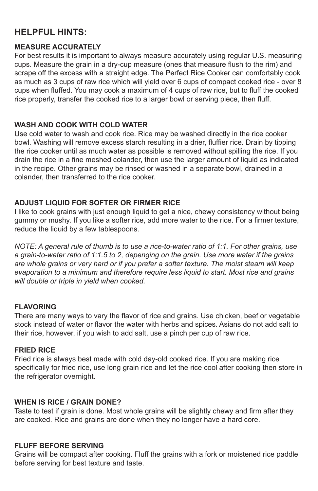# **HELPFUL HINTS:**

#### **MEASURE ACCURATELY**

For best results it is important to always measure accurately using regular U.S. measuring cups. Measure the grain in a dry-cup measure (ones that measure flush to the rim) and scrape off the excess with a straight edge. The Perfect Rice Cooker can comfortably cook as much as 3 cups of raw rice which will yield over 6 cups of compact cooked rice - over 8 cups when fluffed. You may cook a maximum of 4 cups of raw rice, but to fluff the cooked rice properly, transfer the cooked rice to a larger bowl or serving piece, then fluff.

## **WASH AND COOK WITH COLD WATER**

Use cold water to wash and cook rice. Rice may be washed directly in the rice cooker bowl. Washing will remove excess starch resulting in a drier, fluffier rice. Drain by tipping the rice cooker until as much water as possible is removed without spilling the rice. If you drain the rice in a fine meshed colander, then use the larger amount of liquid as indicated in the recipe. Other grains may be rinsed or washed in a separate bowl, drained in a colander, then transferred to the rice cooker.

## **ADJUST LIQUID FOR SOFTER OR FIRMER RICE**

I like to cook grains with just enough liquid to get a nice, chewy consistency without being gummy or mushy. If you like a softer rice, add more water to the rice. For a firmer texture, reduce the liquid by a few tablespoons.

*NOTE: A general rule of thumb is to use a rice-to-water ratio of 1:1. For other grains, use a grain-to-water ratio of 1:1.5 to 2, depenging on the grain. Use more water if the grains are whole grains or very hard or if you prefer a softer texture. The moist steam will keep evaporation to a minimum and therefore require less liquid to start. Most rice and grains will double or triple in yield when cooked.*

#### **FLAVORING**

There are many ways to vary the flavor of rice and grains. Use chicken, beef or vegetable stock instead of water or flavor the water with herbs and spices. Asians do not add salt to their rice, however, if you wish to add salt, use a pinch per cup of raw rice.

# **FRIED RICE**

Fried rice is always best made with cold day-old cooked rice. If you are making rice specifically for fried rice, use long grain rice and let the rice cool after cooking then store in the refrigerator overnight.

#### **WHEN IS RICE / GRAIN DONE?**

Taste to test if grain is done. Most whole grains will be slightly chewy and firm after they are cooked. Rice and grains are done when they no longer have a hard core.

## **FLUFF BEFORE SERVING**

Grains will be compact after cooking. Fluff the grains with a fork or moistened rice paddle before serving for best texture and taste.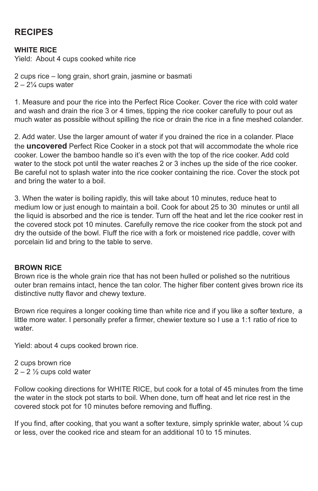# **RECIPES**

#### **WHITE RICE**

Yield: About 4 cups cooked white rice

2 cups rice – long grain, short grain, jasmine or basmati  $2 - 2\frac{1}{4}$  cups water

1. Measure and pour the rice into the Perfect Rice Cooker. Cover the rice with cold water and wash and drain the rice 3 or 4 times, tipping the rice cooker carefully to pour out as much water as possible without spilling the rice or drain the rice in a fine meshed colander.

2. Add water. Use the larger amount of water if you drained the rice in a colander. Place the **uncovered** Perfect Rice Cooker in a stock pot that will accommodate the whole rice cooker. Lower the bamboo handle so it's even with the top of the rice cooker. Add cold water to the stock pot until the water reaches 2 or 3 inches up the side of the rice cooker. Be careful not to splash water into the rice cooker containing the rice. Cover the stock pot and bring the water to a boil.

3. When the water is boiling rapidly, this will take about 10 minutes, reduce heat to medium low or just enough to maintain a boil. Cook for about 25 to 30 minutes or until all the liquid is absorbed and the rice is tender. Turn off the heat and let the rice cooker rest in the covered stock pot 10 minutes. Carefully remove the rice cooker from the stock pot and dry the outside of the bowl. Fluff the rice with a fork or moistened rice paddle, cover with porcelain lid and bring to the table to serve.

#### **BROWN RICE**

Brown rice is the whole grain rice that has not been hulled or polished so the nutritious outer bran remains intact, hence the tan color. The higher fiber content gives brown rice its distinctive nutty flavor and chewy texture.

Brown rice requires a longer cooking time than white rice and if you like a softer texture, a little more water. I personally prefer a firmer, chewier texture so I use a 1:1 ratio of rice to water.

Yield: about 4 cups cooked brown rice.

2 cups brown rice  $2 - 2\frac{1}{2}$  cups cold water

Follow cooking directions for WHITE RICE, but cook for a total of 45 minutes from the time the water in the stock pot starts to boil. When done, turn off heat and let rice rest in the covered stock pot for 10 minutes before removing and fluffing.

If you find, after cooking, that you want a softer texture, simply sprinkle water, about  $\frac{1}{4}$  cup or less, over the cooked rice and steam for an additional 10 to 15 minutes.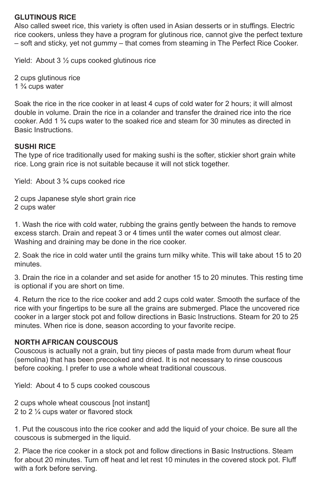## **GLUTINOUS RICE**

Also called sweet rice, this variety is often used in Asian desserts or in stuffings. Electric rice cookers, unless they have a program for glutinous rice, cannot give the perfect texture – soft and sticky, yet not gummy – that comes from steaming in The Perfect Rice Cooker.

Yield: About 3 ½ cups cooked glutinous rice

2 cups glutinous rice 1 ¾ cups water

Soak the rice in the rice cooker in at least 4 cups of cold water for 2 hours; it will almost double in volume. Drain the rice in a colander and transfer the drained rice into the rice cooker. Add 1 ¾ cups water to the soaked rice and steam for 30 minutes as directed in Basic Instructions.

## **SUSHI RICE**

The type of rice traditionally used for making sushi is the softer, stickier short grain white rice. Long grain rice is not suitable because it will not stick together.

Yield: About 3 ¾ cups cooked rice

2 cups Japanese style short grain rice 2 cups water

1. Wash the rice with cold water, rubbing the grains gently between the hands to remove excess starch. Drain and repeat 3 or 4 times until the water comes out almost clear. Washing and draining may be done in the rice cooker.

2. Soak the rice in cold water until the grains turn milky white. This will take about 15 to 20 minutes.

3. Drain the rice in a colander and set aside for another 15 to 20 minutes. This resting time is optional if you are short on time.

4. Return the rice to the rice cooker and add 2 cups cold water. Smooth the surface of the rice with your fingertips to be sure all the grains are submerged. Place the uncovered rice cooker in a larger stock pot and follow directions in Basic Instructions. Steam for 20 to 25 minutes. When rice is done, season according to your favorite recipe.

#### **NORTH AFRICAN COUSCOUS**

Couscous is actually not a grain, but tiny pieces of pasta made from durum wheat flour (semolina) that has been precooked and dried. It is not necessary to rinse couscous before cooking. I prefer to use a whole wheat traditional couscous.

Yield: About 4 to 5 cups cooked couscous

2 cups whole wheat couscous [not instant] 2 to 2 ¼ cups water or flavored stock

1. Put the couscous into the rice cooker and add the liquid of your choice. Be sure all the couscous is submerged in the liquid.

2. Place the rice cooker in a stock pot and follow directions in Basic Instructions. Steam for about 20 minutes. Turn off heat and let rest 10 minutes in the covered stock pot. Fluff with a fork before serving.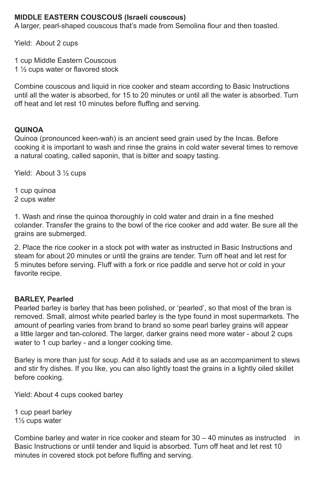## **MIDDLE EASTERN COUSCOUS (Israeli couscous)**

A larger, pearl-shaped couscous that's made from Semolina flour and then toasted.

Yield: About 2 cups

1 cup Middle Eastern Couscous

1 ½ cups water or flavored stock

Combine couscous and liquid in rice cooker and steam according to Basic Instructions until all the water is absorbed, for 15 to 20 minutes or until all the water is absorbed. Turn off heat and let rest 10 minutes before fluffing and serving.

# **QUINOA**

Quinoa (pronounced keen-wah) is an ancient seed grain used by the Incas. Before cooking it is important to wash and rinse the grains in cold water several times to remove a natural coating, called saponin, that is bitter and soapy tasting.

Yield: About 3 ½ cups

1 cup quinoa

2 cups water

1. Wash and rinse the quinoa thoroughly in cold water and drain in a fine meshed colander. Transfer the grains to the bowl of the rice cooker and add water. Be sure all the grains are submerged.

2. Place the rice cooker in a stock pot with water as instructed in Basic Instructions and steam for about 20 minutes or until the grains are tender. Turn off heat and let rest for 5 minutes before serving. Fluff with a fork or rice paddle and serve hot or cold in your favorite recipe.

# **BARLEY, Pearled**

Pearled barley is barley that has been polished, or 'pearled', so that most of the bran is removed. Small, almost white pearled barley is the type found in most supermarkets. The amount of pearling varies from brand to brand so some pearl barley grains will appear a little larger and tan-colored. The larger, darker grains need more water - about 2 cups water to 1 cup barley - and a longer cooking time.

Barley is more than just for soup. Add it to salads and use as an accompaniment to stews and stir fry dishes. If you like, you can also lightly toast the grains in a lightly oiled skillet before cooking.

Yield: About 4 cups cooked barley

1 cup pearl barley 1½ cups water

Combine barley and water in rice cooker and steam for 30 – 40 minutes as instructed in Basic Instructions or until tender and liquid is absorbed. Turn off heat and let rest 10 minutes in covered stock pot before fluffing and serving.